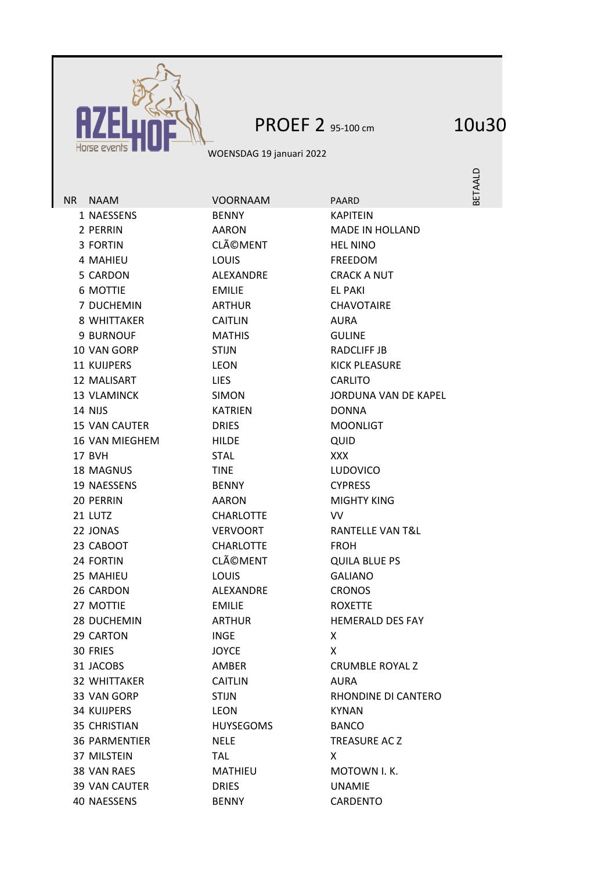

## PROEF 2 95-100 cm 10u30

WOENSDAG 19 januari 2022

BETAALD

2 PERRIN AARON AARON MADE IN HOLLAND 3 FORTIN CLéMENT HEL NINO 4 MAHIEU LOUIS FREEDOM 5 CARDON ALEXANDRE CRACK A NUT 6 MOTTIE EMILIE EL PAKI 7 DUCHEMIN ARTHUR CHAVOTAIRE 8 WHITTAKER CAITLIN AURA 9 BURNOUF MATHIS GULINE 10 VAN GORP STIJN RADCLIFF JB 11 KUIJPERS LEON LEON KICK PLEASURE 12 MALISART LIES CARLITO 14 NIJS KATRIEN DONNA 15 VAN CAUTER DRIES MOONLIGT 16 VAN MIEGHEM HILDE AUID 17 BVH STAL XXX 18 MAGNUS TINE LUDOVICO 19 NAESSENS BENNY CYPRESS 20 PERRIN AARON AARON MIGHTY KING 21 LUTZ CHARLOTTE VV 22 JONAS VERVOORT RANTELLE VAN T&L 23 CABOOT CHARLOTTE FROH 24 FORTIN CLÃOMENT QUILA BLUE PS 25 MAHIEU LOUIS GALIANO 26 CARDON ALEXANDRE CRONOS 27 MOTTIE EMILIE ROXETTE 28 DUCHEMIN ARTHUR ARTHUR HEMERALD DES FAY 29 CARTON INGE X 30 FRIES JOYCE X 31 JACOBS AMBER CRUMBLE ROYAL Z 32 WHITTAKER CAITLIN AURA 34 KUIJPERS LEON KYNAN 35 CHRISTIAN HUYSEGOMS BANCO 36 PARMENTIER NELE TREASURE AC Z 37 MILSTEIN TAL X 38 VAN RAES MATHIEU MOTOWN I.K. 39 VAN CAUTER DRIES UNAMIE 40 NAESSENS BENNY CARDENTO

NR NAAM VOORNAAM PAARD 1 NAESSENS BENNY KAPITEIN

13 VLAMINCK SIMON JORDUNA VAN DE KAPEL 33 VAN GORP STIJN STIJN RHONDINE DI CANTERO